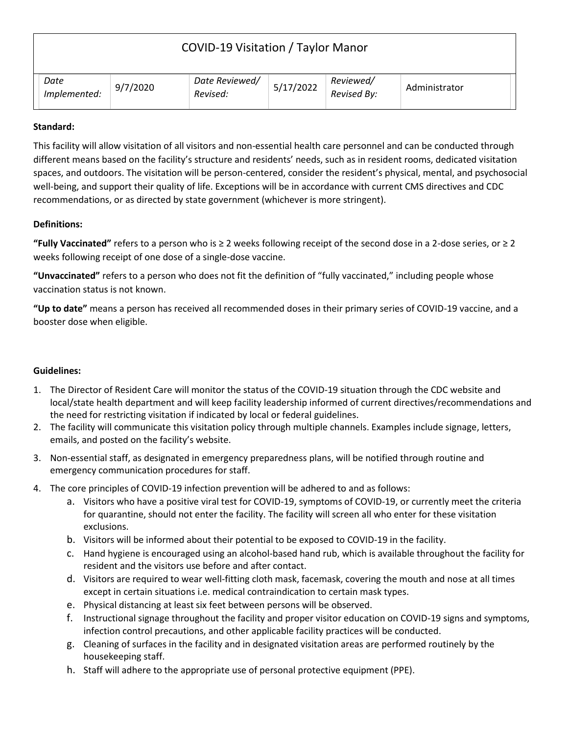| COVID-19 Visitation / Taylor Manor |          |                            |           |                          |               |  |
|------------------------------------|----------|----------------------------|-----------|--------------------------|---------------|--|
| Date<br>Implemented:               | 9/7/2020 | Date Reviewed/<br>Revised: | 5/17/2022 | Reviewed/<br>Revised By: | Administrator |  |

## **Standard:**

This facility will allow visitation of all visitors and non-essential health care personnel and can be conducted through different means based on the facility's structure and residents' needs, such as in resident rooms, dedicated visitation spaces, and outdoors. The visitation will be person-centered, consider the resident's physical, mental, and psychosocial well-being, and support their quality of life. Exceptions will be in accordance with current CMS directives and CDC recommendations, or as directed by state government (whichever is more stringent).

## **Definitions:**

**"Fully Vaccinated"** refers to a person who is ≥ 2 weeks following receipt of the second dose in a 2-dose series, or ≥ 2 weeks following receipt of one dose of a single-dose vaccine.

**"Unvaccinated"** refers to a person who does not fit the definition of "fully vaccinated," including people whose vaccination status is not known.

**"Up to date"** means a person has received all recommended doses in their primary series of COVID-19 vaccine, and a booster dose when eligible.

## **Guidelines:**

- 1. The Director of Resident Care will monitor the status of the COVID-19 situation through the CDC website and local/state health department and will keep facility leadership informed of current directives/recommendations and the need for restricting visitation if indicated by local or federal guidelines.
- 2. The facility will communicate this visitation policy through multiple channels. Examples include signage, letters, emails, and posted on the facility's website.
- 3. Non-essential staff, as designated in emergency preparedness plans, will be notified through routine and emergency communication procedures for staff.
- 4. The core principles of COVID-19 infection prevention will be adhered to and as follows:
	- a. Visitors who have a positive viral test for COVID-19, symptoms of COVID-19, or currently meet the criteria for quarantine, should not enter the facility. The facility will screen all who enter for these visitation exclusions.
	- b. Visitors will be informed about their potential to be exposed to COVID-19 in the facility.
	- c. Hand hygiene is encouraged using an alcohol-based hand rub, which is available throughout the facility for resident and the visitors use before and after contact.
	- d. Visitors are required to wear well-fitting cloth mask, facemask, covering the mouth and nose at all times except in certain situations i.e. medical contraindication to certain mask types.
	- e. Physical distancing at least six feet between persons will be observed.
	- f. Instructional signage throughout the facility and proper visitor education on COVID-19 signs and symptoms, infection control precautions, and other applicable facility practices will be conducted.
	- g. Cleaning of surfaces in the facility and in designated visitation areas are performed routinely by the housekeeping staff.
	- h. Staff will adhere to the appropriate use of personal protective equipment (PPE).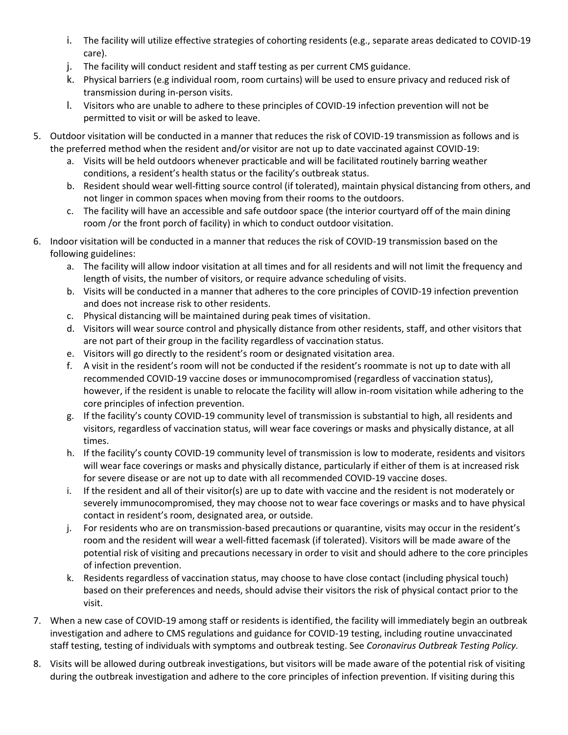- i. The facility will utilize effective strategies of cohorting residents (e.g., separate areas dedicated to COVID-19 care).
- j. The facility will conduct resident and staff testing as per current CMS guidance.
- k. Physical barriers (e.g individual room, room curtains) will be used to ensure privacy and reduced risk of transmission during in-person visits.
- l. Visitors who are unable to adhere to these principles of COVID-19 infection prevention will not be permitted to visit or will be asked to leave.
- 5. Outdoor visitation will be conducted in a manner that reduces the risk of COVID-19 transmission as follows and is the preferred method when the resident and/or visitor are not up to date vaccinated against COVID-19:
	- a. Visits will be held outdoors whenever practicable and will be facilitated routinely barring weather conditions, a resident's health status or the facility's outbreak status.
	- b. Resident should wear well-fitting source control (if tolerated), maintain physical distancing from others, and not linger in common spaces when moving from their rooms to the outdoors.
	- c. The facility will have an accessible and safe outdoor space (the interior courtyard off of the main dining room /or the front porch of facility) in which to conduct outdoor visitation.
- 6. Indoor visitation will be conducted in a manner that reduces the risk of COVID-19 transmission based on the following guidelines:
	- a. The facility will allow indoor visitation at all times and for all residents and will not limit the frequency and length of visits, the number of visitors, or require advance scheduling of visits.
	- b. Visits will be conducted in a manner that adheres to the core principles of COVID-19 infection prevention and does not increase risk to other residents.
	- c. Physical distancing will be maintained during peak times of visitation.
	- d. Visitors will wear source control and physically distance from other residents, staff, and other visitors that are not part of their group in the facility regardless of vaccination status.
	- e. Visitors will go directly to the resident's room or designated visitation area.
	- f. A visit in the resident's room will not be conducted if the resident's roommate is not up to date with all recommended COVID-19 vaccine doses or immunocompromised (regardless of vaccination status), however, if the resident is unable to relocate the facility will allow in-room visitation while adhering to the core principles of infection prevention.
	- g. If the facility's county COVID-19 community level of transmission is substantial to high, all residents and visitors, regardless of vaccination status, will wear face coverings or masks and physically distance, at all times.
	- h. If the facility's county COVID-19 community level of transmission is low to moderate, residents and visitors will wear face coverings or masks and physically distance, particularly if either of them is at increased risk for severe disease or are not up to date with all recommended COVID-19 vaccine doses.
	- i. If the resident and all of their visitor(s) are up to date with vaccine and the resident is not moderately or severely immunocompromised, they may choose not to wear face coverings or masks and to have physical contact in resident's room, designated area, or outside.
	- j. For residents who are on transmission-based precautions or quarantine, visits may occur in the resident's room and the resident will wear a well-fitted facemask (if tolerated). Visitors will be made aware of the potential risk of visiting and precautions necessary in order to visit and should adhere to the core principles of infection prevention.
	- k. Residents regardless of vaccination status, may choose to have close contact (including physical touch) based on their preferences and needs, should advise their visitors the risk of physical contact prior to the visit.
- 7. When a new case of COVID-19 among staff or residents is identified, the facility will immediately begin an outbreak investigation and adhere to CMS regulations and guidance for COVID-19 testing, including routine unvaccinated staff testing, testing of individuals with symptoms and outbreak testing. See *Coronavirus Outbreak Testing Policy.*
- 8. Visits will be allowed during outbreak investigations, but visitors will be made aware of the potential risk of visiting during the outbreak investigation and adhere to the core principles of infection prevention. If visiting during this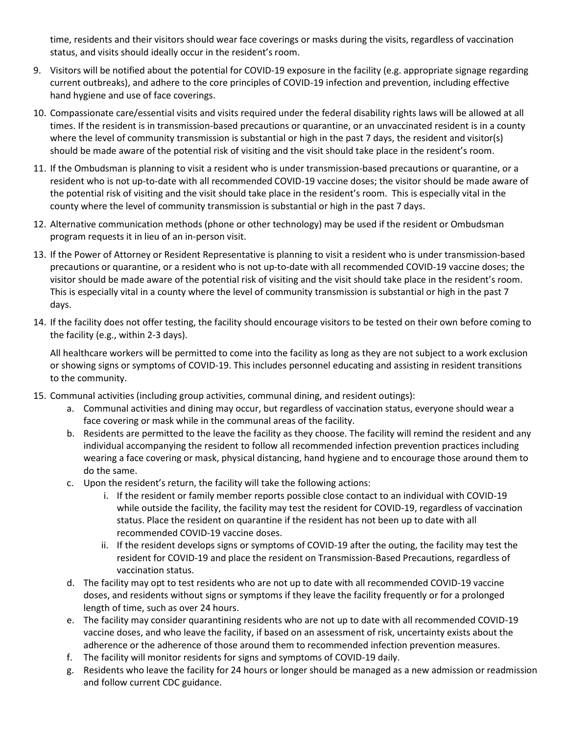time, residents and their visitors should wear face coverings or masks during the visits, regardless of vaccination status, and visits should ideally occur in the resident's room.

- 9. Visitors will be notified about the potential for COVID-19 exposure in the facility (e.g. appropriate signage regarding current outbreaks), and adhere to the core principles of COVID-19 infection and prevention, including effective hand hygiene and use of face coverings.
- 10. Compassionate care/essential visits and visits required under the federal disability rights laws will be allowed at all times. If the resident is in transmission-based precautions or quarantine, or an unvaccinated resident is in a county where the level of community transmission is substantial or high in the past 7 days, the resident and visitor(s) should be made aware of the potential risk of visiting and the visit should take place in the resident's room.
- 11. If the Ombudsman is planning to visit a resident who is under transmission-based precautions or quarantine, or a resident who is not up-to-date with all recommended COVID-19 vaccine doses; the visitor should be made aware of the potential risk of visiting and the visit should take place in the resident's room. This is especially vital in the county where the level of community transmission is substantial or high in the past 7 days.
- 12. Alternative communication methods (phone or other technology) may be used if the resident or Ombudsman program requests it in lieu of an in-person visit.
- 13. If the Power of Attorney or Resident Representative is planning to visit a resident who is under transmission-based precautions or quarantine, or a resident who is not up-to-date with all recommended COVID-19 vaccine doses; the visitor should be made aware of the potential risk of visiting and the visit should take place in the resident's room. This is especially vital in a county where the level of community transmission is substantial or high in the past 7 days.
- 14. If the facility does not offer testing, the facility should encourage visitors to be tested on their own before coming to the facility (e.g., within 2-3 days).

All healthcare workers will be permitted to come into the facility as long as they are not subject to a work exclusion or showing signs or symptoms of COVID-19. This includes personnel educating and assisting in resident transitions to the community.

- 15. Communal activities (including group activities, communal dining, and resident outings):
	- a. Communal activities and dining may occur, but regardless of vaccination status, everyone should wear a face covering or mask while in the communal areas of the facility.
	- b. Residents are permitted to the leave the facility as they choose. The facility will remind the resident and any individual accompanying the resident to follow all recommended infection prevention practices including wearing a face covering or mask, physical distancing, hand hygiene and to encourage those around them to do the same.
	- c. Upon the resident's return, the facility will take the following actions:
		- i. If the resident or family member reports possible close contact to an individual with COVID-19 while outside the facility, the facility may test the resident for COVID-19, regardless of vaccination status. Place the resident on quarantine if the resident has not been up to date with all recommended COVID-19 vaccine doses.
		- ii. If the resident develops signs or symptoms of COVID-19 after the outing, the facility may test the resident for COVID-19 and place the resident on Transmission-Based Precautions, regardless of vaccination status.
	- d. The facility may opt to test residents who are not up to date with all recommended COVID-19 vaccine doses, and residents without signs or symptoms if they leave the facility frequently or for a prolonged length of time, such as over 24 hours.
	- e. The facility may consider quarantining residents who are not up to date with all recommended COVID-19 vaccine doses, and who leave the facility, if based on an assessment of risk, uncertainty exists about the adherence or the adherence of those around them to recommended infection prevention measures.
	- f. The facility will monitor residents for signs and symptoms of COVID-19 daily.
	- g. Residents who leave the facility for 24 hours or longer should be managed as a new admission or readmission and follow current CDC guidance.